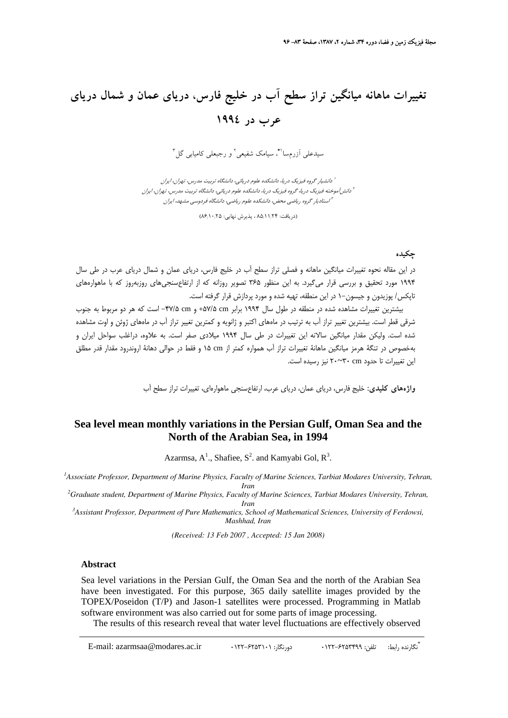# **تغييرات ماهانه ميانگين تراز سطح آب در خليج فارس، درياي عمان و شمال درياي عرب در 1994**

سیدعلی آزرمسا<sup>۹</sup>ٌ، سیامک شفیعی<sup>٬</sup> و رجبعلی کامیابی گل<sup>۳</sup>

دانشيار گروه فيزيك دريا، دانشكده علوم دريائي، دانشگاه تربيت مدرس، تهران، ايران <sup>1</sup> دانشآموخته فيزيك دريا، گروه فيزيك دريا، دانشكده علوم دريائي، دانشگاه تربيت مدرس، تهران، ايران <sup>2</sup> استاديار گروه رياضي محض، دانشكده علوم رياضي، دانشگاه فردوسي مشهد، ايران <sup>3</sup>

 $(\lambda \mathcal{S}_1) \cdot (\lambda \mathcal{S}_2)$  ، پذيرش نهايي:  $\lambda \Delta_1 \setminus (\lambda \mathcal{S}_1)$ 

#### **چكيده**

در اين مقاله نحوه تغييرات ميانگين ماهانه و فصلي تراز سطح آب در خليج فارس، درياي عمان و شمال درياي عرب در طي سال 1994 مورد تحقيق و بررسي قرار ميگيرد. به اين منظور 365 تصوير روزانه كه از ارتفاعسنجيهاي روزبهروز كه با ماهوارههاي تاپكس/ پوزيدون و جيسون–۱ در اين منطقه، تهيه شده و مورد پردازش قرار گرفته است.

بيشترين تغييرات مشاهده شده در منطقه در طول سال 1994 برابر cm +57/5 و cm -47/5 است كه هر دو مربوط به جنوب شرقي قطر است. بيشترين تغيير تراز آب به ترتيب در ماههاي اكتبر و ژانويه و كمترين تغيير تراز آب در ماههاي ژوئن و اوت مشاهده شده است. وليكن مقدار ميانگين سالانه اين تغييرات در طي سال 1994 ميلادي صفر است. به علاوه، دراغلب سواحل ايران و بهخصوص در تنگة هرمز ميانگين ماهانة تغييرات تراز آب همواره كمتر از cm 15 و فقط در حوالي دهانة اروندرود مقدار قدر مطلق اين تغييرات تا حدود cm 30~20 نيز رسيده است.

**واژههاي كليدي:** خليج فارس، درياي عمان، درياي عرب، ارتفاعسنجي ماهوارهاي، تغييرات تراز سطح آب

## **Sea level mean monthly variations in the Persian Gulf, Oman Sea and the North of the Arabian Sea, in 1994**

Azarmsa,  $A^1$ ., Shafiee,  $S^2$ . and Kamyabi Gol,  $R^3$ .

<sup>1</sup> Associate Professor, Department of Marine Physics, Faculty of Marine Sciences, Tarbiat Modares University, Tehran, *Iran*<br><sup>2</sup> Graduate student, Department of Marine Physics, Faculty of Marine Sciences, Tarbiat Modares University, Tehran,

*Iran 3 Assistant Professor, Department of Pure Mathematics, School of Mathematical Sciences, University of Ferdowsi,* 

*Mashhad, Iran* 

*(Received: 13 Feb 2007 , Accepted: 15 Jan 2008)*

#### **Abstract**

Sea level variations in the Persian Gulf, the Oman Sea and the north of the Arabian Sea have been investigated. For this purpose, 365 daily satellite images provided by the TOPEX/Poseidon (T/P) and Jason-1 satellites were processed. Programming in Matlab software environment was also carried out for some parts of image processing.

The results of this research reveal that water level fluctuations are effectively observed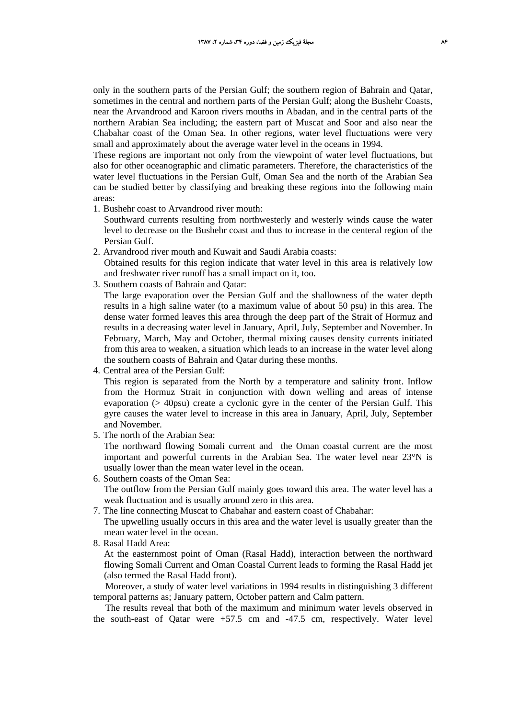only in the southern parts of the Persian Gulf; the southern region of Bahrain and Qatar, sometimes in the central and northern parts of the Persian Gulf; along the Bushehr Coasts, near the Arvandrood and Karoon rivers mouths in Abadan, and in the central parts of the northern Arabian Sea including; the eastern part of Muscat and Soor and also near the Chabahar coast of the Oman Sea. In other regions, water level fluctuations were very small and approximately about the average water level in the oceans in 1994.

These regions are important not only from the viewpoint of water level fluctuations, but also for other oceanographic and climatic parameters. Therefore, the characteristics of the water level fluctuations in the Persian Gulf, Oman Sea and the north of the Arabian Sea can be studied better by classifying and breaking these regions into the following main areas:

1. Bushehr coast to Arvandrood river mouth:

Southward currents resulting from northwesterly and westerly winds cause the water level to decrease on the Bushehr coast and thus to increase in the centeral region of the Persian Gulf.

2. Arvandrood river mouth and Kuwait and Saudi Arabia coasts:

Obtained results for this region indicate that water level in this area is relatively low and freshwater river runoff has a small impact on it, too.

3. Southern coasts of Bahrain and Qatar:

The large evaporation over the Persian Gulf and the shallowness of the water depth results in a high saline water (to a maximum value of about 50 psu) in this area. The dense water formed leaves this area through the deep part of the Strait of Hormuz and results in a decreasing water level in January, April, July, September and November. In February, March, May and October, thermal mixing causes density currents initiated from this area to weaken, a situation which leads to an increase in the water level along the southern coasts of Bahrain and Qatar during these months.

4. Central area of the Persian Gulf:

This region is separated from the North by a temperature and salinity front. Inflow from the Hormuz Strait in conjunction with down welling and areas of intense evaporation (> 40psu) create a cyclonic gyre in the center of the Persian Gulf. This gyre causes the water level to increase in this area in January, April, July, September and November.

5. The north of the Arabian Sea:

The northward flowing Somali current and the Oman coastal current are the most important and powerful currents in the Arabian Sea. The water level near 23°N is usually lower than the mean water level in the ocean.

6. Southern coasts of the Oman Sea:

The outflow from the Persian Gulf mainly goes toward this area. The water level has a weak fluctuation and is usually around zero in this area.

7. The line connecting Muscat to Chabahar and eastern coast of Chabahar:

The upwelling usually occurs in this area and the water level is usually greater than the mean water level in the ocean.

8. Rasal Hadd Area:

At the easternmost point of Oman (Rasal Hadd), interaction between the northward flowing Somali Current and Oman Coastal Current leads to forming the Rasal Hadd jet (also termed the Rasal Hadd front).

Moreover, a study of water level variations in 1994 results in distinguishing 3 different temporal patterns as; January pattern, October pattern and Calm pattern.

The results reveal that both of the maximum and minimum water levels observed in the south-east of Qatar were +57.5 cm and -47.5 cm, respectively. Water level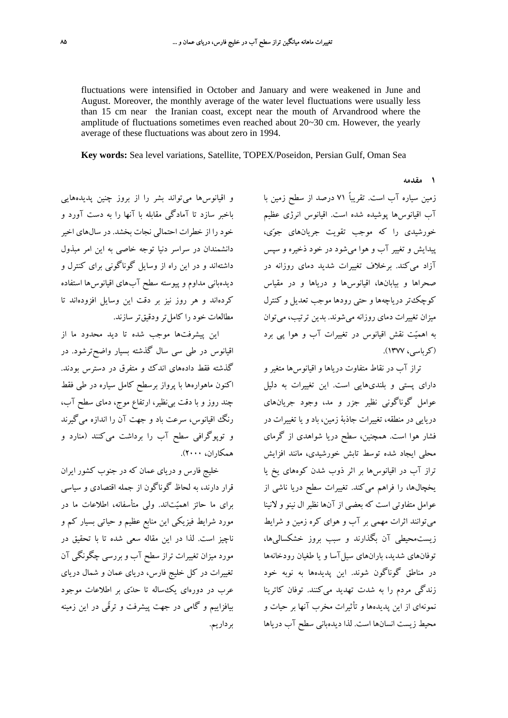fluctuations were intensified in October and January and were weakened in June and August. Moreover, the monthly average of the water level fluctuations were usually less than 15 cm near the Iranian coast, except near the mouth of Arvandrood where the amplitude of fluctuations sometimes even reached about 20~30 cm. However, the yearly average of these fluctuations was about zero in 1994.

**Key words:** Sea level variations, Satellite, TOPEX/Poseidon, Persian Gulf, Oman Sea

**1 مقدمه**

زمين سياره آب است. تقريباً 71 درصد از سطح زمين با آب اقيانوسها پوشيده شده است. اقيانوس انرژي عظيم خورشيدي را كه موجب تقويت جريانهاي جوي، پيدايش و تغيير آب و هوا ميشود در خود ذخيره و سپس آزاد ميكند. برخلاف تغييرات شديد دماي روزانه در صحراها و بيابانها، اقيانوسها و درياها و در مقياس كوچكتر درياچهها و حتي رودها موجب تعديل و كنترل ميزان تغييرات دماي روزانه ميشوند. بدين ترتيب، ميتوان به اهميت نقش اقيانوس در تغييرات آب و هوا پي برد (كرباسي، 1377).

تراز آب در نقاط متفاوت درياها و اقيانوسها متغير و داراي پستي و بلنديهايي است. اين تغييرات به دليل عوامل گوناگوني نظير جزر و مد، وجود جريانهاي دريايي در منطقه، تغييرات جاذبة زمين، باد و يا تغييرات در فشار هوا است. همچنين، سطح دريا شواهدي از گرماي محلي ايجاد شده توسط تابش خورشيدي، مانند افزايش تراز آب در اقيانوسها بر اثر ذوب شدن كوههاي يخ يا يخچالها، را فراهم ميكند. تغييرات سطح دريا ناشي از عوامل متفاوتي است كه بعضي از آنها نظير ال نينو و لانينا ميتوانند اثرات مهمي بر آب و هواي كره زمين و شرايط زيستمحيطي آن بگذارند و سبب بروز خشكساليها، توفانهاي شديد، بارانهاي سيلآسا و يا طغيان رودخانهها در مناطق گوناگون شوند. اين پديدهها به نوبه خود زندگي مردم را به شدت تهديد ميكنند. توفان كاترينا نمونهاي از اين پديدهها و تأثيرات مخرب آنها بر حيات و محيط زيست انسانها است. لذا ديدهباني سطح آب درياها

و اقيانوسها ميتواند بشر را از بروز چنين پديدههايي باخبر سازد تا آمادگي مقابله با آنها را به دست آورد و خود را از خطرات احتمالي نجات بخشد. در سالهاي اخير دانشمندان در سراسر دنيا توجه خاصي به اين امر مبذول داشتهاند و در اين راه از وسايل گوناگوني براي كنترل و ديدهباني مداوم و پيوسته سطح آبهاي اقيانوسها استفاده كردهاند و هر روز نيز بر دقت اين وسايل افزودهاند تا مطالعات خود را كاملتر ودقيقتر سازند.

اين پيشرفتها موجب شده تا ديد محدود ما از اقيانوس در طي سي سال گذشته بسيار واضحترشود. در گذشته فقط دادههاي اندك و متفرق در دسترس بودند. اكنون ماهوارهها با پرواز برسطح كامل سياره در طي فقط چند روز و با دقت بينظير، ارتفاع موج، دماي سطح آب، رنگ اقيانوس، سرعت باد و جهت آن را اندازه ميگيرند و توپوگرافي سطح آب را برداشت ميكنند (منارد و همكاران، 2000).

خليج فارس و درياي عمان كه در جنوب كشور ايران قرار دارند، به لحاظ گوناگون از جمله اقتصادي و سياسي براي ما حائز اهميتاند. ولي متأسفانه، اطلاعات ما در مورد شرايط فيزيكي اين منابع عظيم و حياتي بسيار كم و ناچيز است. لذا در اين مقاله سعي شده تا با تحقيق در مورد ميزان تغييرات تراز سطح آب و بررسي چگونگي آن تغييرات در كل خليج فارس، درياي عمان و شمال درياي عرب در دورهاي يكساله تا حدي بر اطلاعات موجود بيافزاييم و گامي در جهت پيشرفت و ترقّي در اين زمينه برداريم.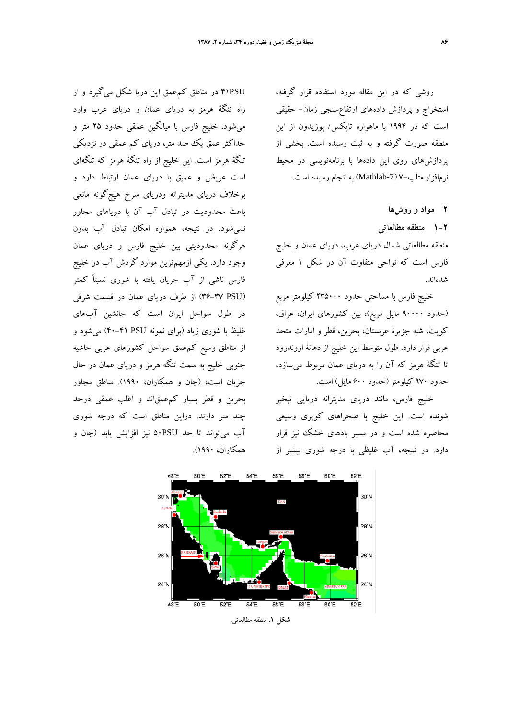روشي كه در اين مقاله مورد استفاده قرار گرفته، استخراج و پردازش دادههاي ارتفاعسنجي زمان- حقيقي است كه در 1994 با ماهواره تاپكس/ پوزيدون از اين منطقه صورت گرفته و به ثبت رسيده است. بخشي از پردازشهاي روي اين دادهها با برنامهنويسي در محيط نرمافزار متلب7- (-7Mathlab (به انجام رسيده است.

**2 مواد و روشها**

**1-2 منطقه مطالعاتي**

منطقه مطالعاتي شمال درياي عرب، درياي عمان و خليج فارس است كه نواحي متفاوت آن در شكل 1 معرفي شدهاند.

خليج فارس با مساحتي حدود 235000 كيلومتر مربع (حدود 90000 مايل مربع)، بين كشورهاي ايران، عراق، كويت، شبه جزيرة عربستان، بحرين، قطر و امارات متحد عربي قرار دارد. طول متوسط اين خليج از دهانة اروندرود تا تنگة هرمز كه آن را به درياي عمان مربوط ميسازد، حدود 970 كيلومتر(حدود 600 مايل) است.

خليج فارس، مانند درياي مديترانه دريايي تبخير شونده است. اين خليج با صحراهاي كويري وسيعي محاصره شده است و در مسير بادهاي خشك نيز قرار دارد. در نتيجه، آب غليظي با درجه شوري بيشتر از

PSU41 در مناطق كمعمق اين دريا شكل ميگيرد و از راه تنگة هرمز به درياي عمان و درياي عرب وارد ميشود. خليج فارس با ميانگين عمقي حدود 25 متر و حداكثر عمق يك صد متر، درياي كم عمقي در نزديكي تنگة هرمز است. اين خليج از راه تنگة هرمز كه تنگهاي است عريض و عميق با درياي عمان ارتباط دارد و برخلاف درياي مديترانه ودرياي سرخ هيچگونه مانعي باعث محدوديت در تبادل آب آن با درياهاي مجاور نميشود. در نتيجه، همواره امكان تبادل آب بدون هرگونه محدوديتي بين خليج فارس و درياي عمان وجود دارد. يكي ازمهمترين موارد گردش آب در خليج فارس ناشي از آب جريان يافته با شوري نسبتاً كمتر (PSU 36-37 (از طرف درياي عمان در قسمت شرقي در طول سواحل ايران است كه جانشين آبهاي غليظ با شوري زياد (براي نمونه PSU 40-41 (ميشود و از مناطق وسيع كمعمق سواحل كشورهاي عربي حاشيه جنوبي خليج به سمت تنگه هرمز و درياي عمان در حال جريان است، (جان و همكاران، 1990). مناطق مجاور بحرين و قطر بسيار كمعمقاند و اغلب عمقي درحد چند متر دارند. دراين مناطق است كه درجه شوري آب ميتواند تا حد PSU50 نيز افزايش يابد (جان و همكاران، 1990).



**شكل .1** منطقه مطالعاتي.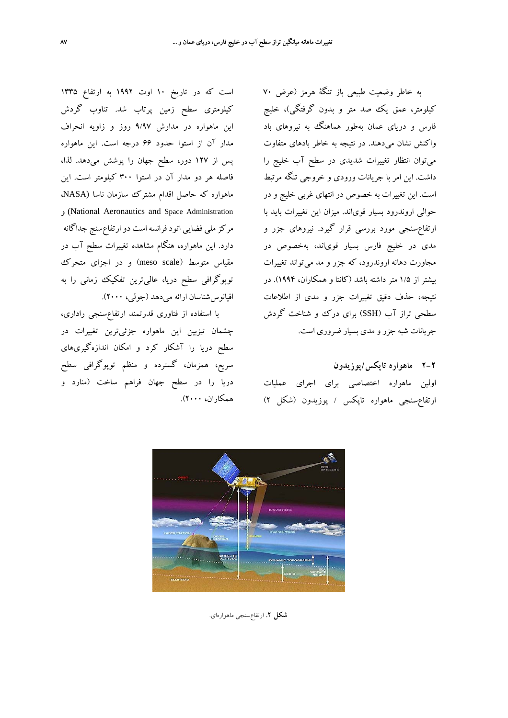به خاطر وضعيت طبيعي باز تنگة هرمز (عرض 70 كيلومتر، عمق يك صد متر و بدون گرفتگي)، خليج فارس و درياي عمان بهطور هماهنگ به نيروهاي باد واكنش نشان ميدهند. در نتيجه به خاطر بادهاي متفاوت ميتوان انتظار تغييرات شديدي در سطح آب خليج را داشت. اين امر با جريانات ورودي و خروجي تنگه مرتبط است. اين تغييرات به خصوص در انتهاي غربي خليج و در حوالي اروندرود بسيار قوياند. ميزان اين تغييرات بايد با ارتفاعسنجي مورد بررسي قرار گيرد. نيروهاي جزر و مدي در خليج فارس بسيار قوياند، بهخصوص در مجاورت دهانه اروندرود، كه جزر و مد ميتواند تغييرات بيشتر از 1/5 متر داشته باشد (كانتا و همكاران، 1994). در نتيجه، حذف دقيق تغييرات جزر و مدي از اطلاعات سطحي تراز آب (SSH) براي درك و شناخت گردش جريانات شبه جزر و مدي بسيار ضروري است.

# **2-2 ماهواره تاپكس/پوزيدون**

اولين ماهواره اختصاصي براي اجراي عمليات ارتفاعسنجي ماهواره تاپكس / پوزيدون (شكل 2)

است كه در تاريخ 10 اوت 1992 به ارتفاع 1335 كيلومتري سطح زمين پرتاب شد. تناوب گردش اين ماهواره در مدارش 9/97 روز و زاويه انحراف مدار آن از استوا حدود 66 درجه است. اين ماهواره پس از 127 دور، سطح جهان را پوشش ميدهد. لذا، فاصله هر دو مدار آن در استوا 300 كيلومتر است. اين ماهواره كه حاصل اقدام مشترك سازمان ناسا (NASA، و) National Aeronautics and Space Administration مركزملي فضايي اتودفرانسهاست دوارتفاعسنج جداگانه دارد. اين ماهواره، هنگام مشاهده تغييرات سطح آب در مقياس متوسط (scale meso (و در اجزاي متحرك توپوگرافي سطح دريا، عاليترين تفكيك زماني را به اقيانوسشناسان ارائه ميدهد (جولي، 2000).

با استفاده از فناوري قدرتمند ارتفاعسنجي راداري، چشمان تيزبين اين ماهواره جزئيترين تغييرات در سطح دريا را آشكار كرد و امكان اندازهگيريهاي سريع، همزمان، گسترده و منظم توپوگرافي سطح دريا را در سطح جهان فراهم ساخت (منارد و همكاران، 2000).



**شكل .2** ارتفاعسنجي ماهوارهاي.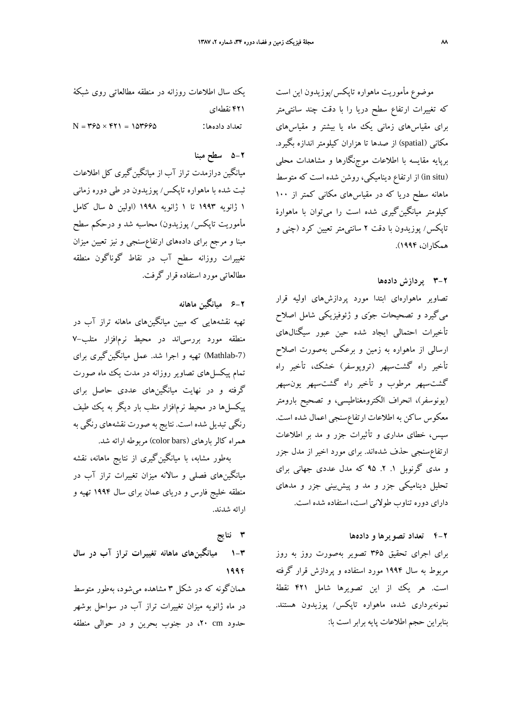موضوع مأموريت ماهواره تاپكس/پوزيدون اين است كه تغييرات ارتفاع سطح دريا را با دقت چند سانتيمتر براي مقياسهاي زماني يك ماه يا بيشتر و مقياسهاي مكاني (spatial (از صدها تا هزاران كيلومتر اندازه بگيرد. برپايه مقايسه با اطلاعات موجنگارها و مشاهدات محلي (in situ) از ارتفاع ديناميكي، روشن شده است كه متوسط ماهانه سطح دريا كه در مقياسهاي مكاني كمتر از 100 كيلومتر ميانگينگيري شده است را ميتوان با ماهوارة تاپكس/ پوزيدون با دقت 2 سانتيمتر تعيين كرد (چني و همكاران، 1994).

### **3-2 پردازش دادهها**

تصاوير ماهوارهاي ابتدا مورد پردازشهاي اوليه قرار ميگيرد و تصحيحات جوي و ژئوفيزيكي شامل اصلاح تأخيرات احتمالي ايجاد شده حين عبور سيگنالهاي ارسالي از ماهواره به زمين و برعكس بهصورت اصلاح تأخير راه گشتسپهر (تروپوسفر) خشك، تأخير راه گشتسپهر مرطوب و تأخير راه گشتسپهر يونسپهر (يونوسفر)، انحراف الكترومغناطيسي، و تصحيح بارومتر معكوس ساكن به اطلاعات ارتفاعسنجي اعمال شده است. سپس، خطاي مداري و تأثيرات جزر و مد بر اطلاعات ارتفاعسنجي حذف شدهاند. براي مورد اخير از مدل جزر و مدي گرنوبل .1 .2 95 كه مدل عددي جهاني براي تحليل ديناميكي جزر و مد و پيشبيني جزر و مدهاي داراي دوره تناوب طولاني است، استفاده شده است.

### **4-2 تعداد تصويرها و دادهها**

براي اجراي تحقيق 365 تصوير بهصورت روز به روز مربوط به سال 1994 مورد استفاده و پردازش قرار گرفته است. هر يك از اين تصويرها شامل ۴۲۱ نقطة نمونهبرداري شده، ماهواره تاپكس/ پوزيدون هستند. بنابراين حجم اطلاعات پايه برابر است با:

يك سال اطلاعات روزانه در منطقه مطالعاتي روي شبكة 421 نقطهاي  $N = 1280 \times 151 = 187998$  : تعداد دادهها:

# **5-2 سطح مبنا**

ميانگين درازمدت تراز آب از ميانگينگيري كل اطلاعات ثبت شده با ماهواره تاپكس/ پوزيدون در طي دوره زماني 1 ژانويه 1993 تا 1 ژانويه 1998 (اولين 5 سال كامل مأموريت تاپكس/ پوزيدون) محاسبه شد و درحكم سطح مبنا و مرجع براي دادههاي ارتفاعسنجي و نيز تعيين ميزان تغييرات روزانه سطح آب در نقاط گوناگون منطقه مطالعاتي مورد استفاده قرار گرفت.

## **6-2 ميانگين ماهانه**

تهيه نقشههايي كه مبين ميانگينهاي ماهانه تراز آب در منطقه مورد بررسياند در محيط نرمافزار متلب7- (-7Mathlab (تهيه و اجرا شد. عمل ميانگينگيري براي تمام پيكسلهاي تصاوير روزانه در مدت يك ماه صورت گرفته و در نهايت ميانگينهاي عددي حاصل براي پيكسلها در محيط نرمافزار متلب بار ديگر به يك طيف رنگي تبديل شده است. نتايج به صورت نقشههاي رنگي به همراه كالر بارهاي (color bars) مربوطه ارائه شد.

بهطور مشابه، با ميانگينگيري از نتايج ماهانه، نقشه ميانگينهاي فصلي و سالانه ميزان تغييرات تراز آب در منطقه خليج فارس و درياي عمان براي سال 1994 تهيه و ارائه شدند.

#### **3 نتايج**

**1-3 ميانگينهاي ماهانه تغييرات تراز آب در سال 1994**

همانگونه كه در شكل 3 مشاهده ميشود، بهطور متوسط در ماه ژانويه ميزان تغييرات تراز آب در سواحل بوشهر حدود cm ،20 در جنوب بحرين و در حوالي منطقه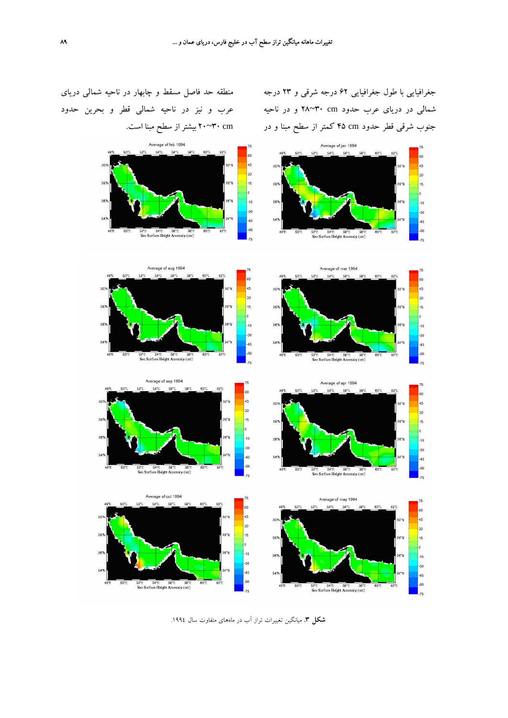جغرافيايي با طول جغرافيايي 62 درجه شرقي و 23 درجه شمالي در درياي عرب حدود cm 30~28 و در ناحيه جنوب شرقي قطر حدود cm 45 كمتر از سطح مبنا و در

منطقه حد فاصل مسقط و چابهار در ناحيه شمالي درياي عرب و نيز در ناحيه شمالي قطر و بحرين حدود cm 30~20 بيشتراز سطح مبنا است.



**شكل .3** ميانگين تغييرات تراز آب در ماههاي متفاوت سال .1994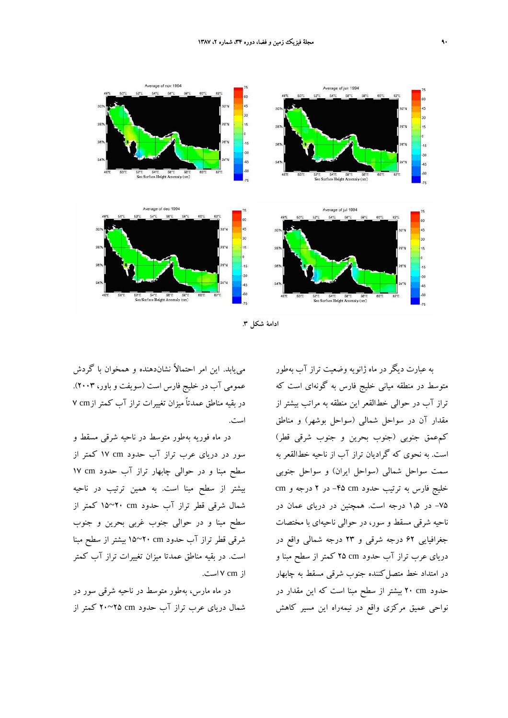

**ادامة شكل .3**

مييابد. اين امر احتمالاً نشاندهنده و همخوان با گردش عمومي آب در خليج فارس است (سويفت و باور، 2003). در بقيه مناطق عمدتاً ميزان تغييرات تراز آب كمتر ازcm 7 است.

در ماه فوريه بهطور متوسط در ناحيه شرقي مسقط و سور در درياي عرب تراز آب حدود cm 17 كمتر از سطح مبنا و در حوالي چابهار تراز آب حدود cm 17 بيشتر از سطح مبنا است. به همين ترتيب در ناحيه شمال شرقي قطر تراز آب حدود cm 20~15 كمتر از سطح مبنا و در حوالي جنوب غربي بحرين و جنوب شرقي قطر تراز آب حدود cm 20~15 بيشتر از سطح مبنا است. در بقيه مناطق عمدتا ميزان تغييرات تراز آب كمتر از cm 7 است.

در ماه مارس، بهطور متوسط در ناحيه شرقي سور در شمال درياي عرب تراز آب حدود cm 25~20 كمتر از به عبارت ديگر در ماه ژانويه وضعيت تراز آب بهطور متوسط در منطقه مياني خليج فارس به گونهاي است كه تراز آب در حوالي خطالقعر اين منطقه به مراتب بيشتر از مقدار آن در سواحل شمالي (سواحل بوشهر) و مناطق كمعمق جنوبي (جنوب بحرين و جنوب شرقي قطر) است. به نحوي كه گراديان تراز آب از ناحيه خطالقعر به سمت سواحل شمالي (سواحل ايران) و سواحل جنوبي خليج فارس به ترتيب حدود cm -45 در 2 درجه و cm -75 در 1,5 درجه است. همچنين در درياي عمان در ناحيه شرقي مسقط و سور، در حوالي ناحيهاي با مختصات جغرافيايي 62 درجه شرقي و 23 درجه شمالي واقع در درياي عرب تراز آب حدود cm 25 كمتر از سطح مبنا و در امتداد خط متصل كننده جنوب شرقي مسقط به چابهار حدود cm 20 بيشتر از سطح مبنا است كه اين مقدار در نواحي عميق مركزي واقع در نيمهراه اين مسير كاهش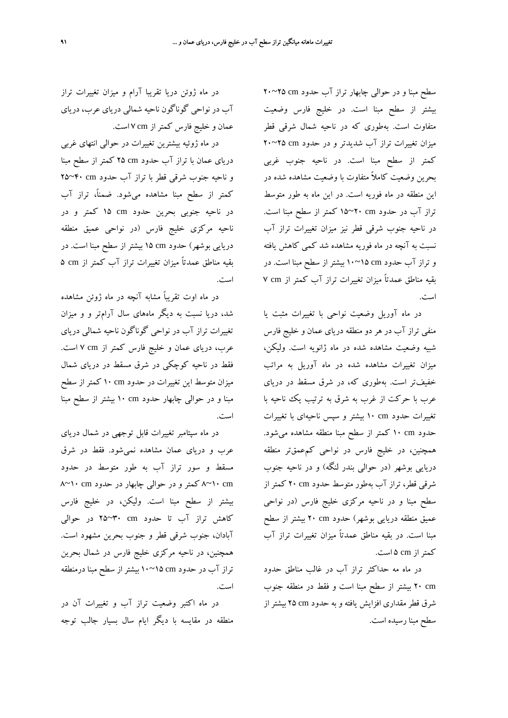سطح مبنا و در حوالي چابهار تراز آب حدود cm 25~20 بيشتر از سطح مبنا است. در خليج فارس وضعيت متفاوت است. بهطوري كه در ناحيه شمال شرقي قطر ميزان تغييرات تراز آب شديدتر و در حدود cm 25~20 كمتر از سطح مبنا است. در ناحيه جنوب غربي بحرين وضعيت كاملاً متفاوت با وضعيت مشاهده شده در اين منطقه در ماه فوريه است. در اين ماه به طور متوسط تراز آب در حدود cm 20~15 كمتر از سطح مبنا است. در ناحيه جنوب شرقي قطر نيز ميزان تغييرات تراز آب نسبت به آنچه در ماه فوريه مشاهده شد كمي كاهش يافته و تراز آب حدود cm 15~10 بيشتر از سطح مبنا است. در بقيه مناطق عمدتاً ميزان تغييرات تراز آب كمتر از cm 7 است.

در ماه آوريل وضعيت نواحي با تغييرات مثبت يا منفي تراز آب در هر دو منطقه درياي عمان و خليج فارس شبيه وضعيت مشاهده شده در ماه ژانويه است. وليكن، ميزان تغييرات مشاهده شده در ماه آوريل به مراتب خفيفتر است. بهطوري كه، در شرق مسقط در درياي عرب با حركت از غرب به شرق به ترتيب يك ناحيه با تغييرات حدود cm 10 بيشتر و سپس ناحيهاي با تغييرات حدود cm 10 كمتر از سطح مبنا منطقه مشاهده ميشود. همچنين، در خليج فارس در نواحي كمعمقتر منطقه دريايي بوشهر (در حوالي بندر لنگه) و در ناحيه جنوب شرقي قطر، تراز آب بهطور متوسط حدود cm 20 كمتر از سطح مبنا و در ناحيه مركزي خليج فارس (در نواحي عميق منطقه دريايي بوشهر) حدود cm 20 بيشتر از سطح مبنا است. در بقيه مناطق عمدتاً ميزان تغييرات تراز آب كمتراز cm 5 است.

در ماه مه حداكثر تراز آب در غالب مناطق حدود cm 20 بيشتر از سطح مبنا است و فقط در منطقه جنوب شرق قطر مقداري افزايش يافته و به حدود cm 25 بيشتر از سطح مبنا رسيده است.

در ماه ژوئن دريا تقريبا آرام و ميزان تغييرات تراز آب در نواحي گوناگون ناحيه شمالي درياي عرب، درياي عمان و خليج فارس كمتراز cm 7 است.

در ماه ژوئيه بيشترين تغييرات در حوالي انتهاي غربي درياي عمان با تراز آب حدود cm 25 كمتر از سطح مبنا و ناحيه جنوب شرقي قطر با تراز آب حدود cm 40~25 كمتر از سطح مبنا مشاهده ميشود. ضمنا،ً تراز آب در ناحيه جنوبي بحرين حدود cm 15 كمتر و در ناحيه مركزي خليج فارس (در نواحي عميق منطقه دريايي بوشهر) حدود cm 15 بيشتر از سطح مبنا است. در بقيه مناطق عمدتاً ميزان تغييرات تراز آب كمتر از cm 5 است.

در ماه اوت تقريباً مشابه آنچه در ماه ژوئن مشاهده شد، دريا نسبت به ديگر ماههاي سال آرامتر و و ميزان تغييرات تراز آب در نواحي گوناگون ناحيه شمالي درياي عرب، درياي عمان و خليج فارس كمتر از cm 7 است. فقط در ناحيه كوچكي در شرق مسقط در درياي شمال ميزان متوسط اين تغييرات در حدود cm 10 كمتر از سطح مبنا و در حوالي چابهار حدود cm 10 بيشتر از سطح مبنا است.

در ماه سپتامبر تغييرات قابل توجهي در شمال درياي عرب و درياي عمان مشاهده نميشود. فقط در شرق مسقط و سور تراز آب به طور متوسط در حدود cm 10~8 كمتر و در حوالي چابهار در حدود cm 10~8 بيشتر از سطح مبنا است. وليكن، در خليج فارس كاهش تراز آب تا حدود cm 30~25 در حوالي آبادان، جنوب شرقي قطر و جنوب بحرين مشهود است. همچنين، در ناحيه مركزي خليج فارس در شمال بحرين تراز آب در حدود cm 15~10 بيشتر از سطح مبنا درمنطقه است.

در ماه اكتبر وضعيت تراز آب و تغييرات آن در منطقه در مقايسه با ديگر ايام سال بسيار جالب توجه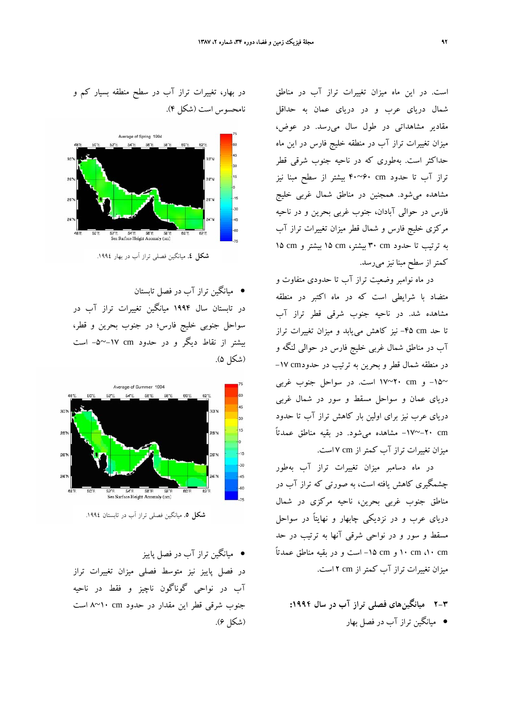است. در اين ماه ميزان تغييرات تراز آب در مناطق شمال درياي عرب و در درياي عمان به حداقل مقادير مشاهداتي در طول سال ميرسد. در عوض، ميزان تغييرات تراز آب در منطقه خليج فارس در اين ماه حداكثر است. بهطوري كه در ناحيه جنوب شرقي قطر تراز آب تا حدود cm 60~40 بيشتر از سطح مبنا نيز مشاهده ميشود. همجنين در مناطق شمال غربي خليج فارس در حوالي آبادان، جنوب غربي بحرين و در ناحيه مركزي خليج فارس و شمال قطر ميزان تغييرات تراز آب به ترتيب تا حدود cm 30 بيشتر، cm 15 بيشتر و cm 15 كمتراز سطح مبنا نيز ميرسد.

در ماه نوامبر وضعيت تراز آب تا حدودي متفاوت و متضاد با شرايطي است كه در ماه اكتبر در منطقه مشاهده شد. در ناحيه جنوب شرقي قطر تراز آب تا حد cm -45 نيز كاهش مييابد و ميزان تغييرات تراز آب در مناطق شمال غربي خليج فارس در حوالي لنگه و در منطقه شمال قطر و بحرين به ترتيب در حدودcm -17 ~-15 و cm 20~17 است. در سواحل جنوب غربي درياي عمان و سواحل مسقط و سور در شمال غربي درياي عرب نيز براي اولين بار كاهش تراز آب تا حدود cm -20~-17 مشاهده ميشود. در بقيه مناطق عمدتاً ميزان تغييرات تراز آب كمتراز cm 7 است.

در ماه دسامبر ميزان تغييرات تراز آب بهطور چشمگيري كاهش يافته است، به صورتي كه تراز آب در مناطق جنوب غربي بحرين، ناحيه مركزي در شمال درياي عرب و در نزديكي چابهار و نهايتاً در سواحل مسقط و سور و در نواحي شرقي آنها به ترتيب در حد cm ،10 cm 10 و cm -15 است و در بقيه مناطق عمدتاً ميزان تغييرات تراز آب كمتراز cm 2 است.

**2-3 ميانگينهاي فصلي تراز آب در سال :1994** • ميانگين تراز آب در فصل بهار





**شكل .4** ميانگين فصلي تراز آب در بهار .1994

• ميانگين تراز آب در فصل تابستان در تابستان سال 1994 ميانگين تغييرات تراز آب در سواحل جنوبي خليج فارس؛ در جنوب بحرين و قطر، بيشتر از نقاط ديگر و در حدود cm -17~-5 است (شكل 5).



**شكل .5** ميانگين فصلي تراز آب در تابستان .1994

• ميانگين تراز آب در فصل پاييز در فصل پاييز نيز متوسط فصلي ميزان تغييرات تراز آب در نواحي گوناگون ناچيز و فقط در ناحيه جنوب شرقي قطر اين مقدار در حدود cm 10~8 است (شكل 6).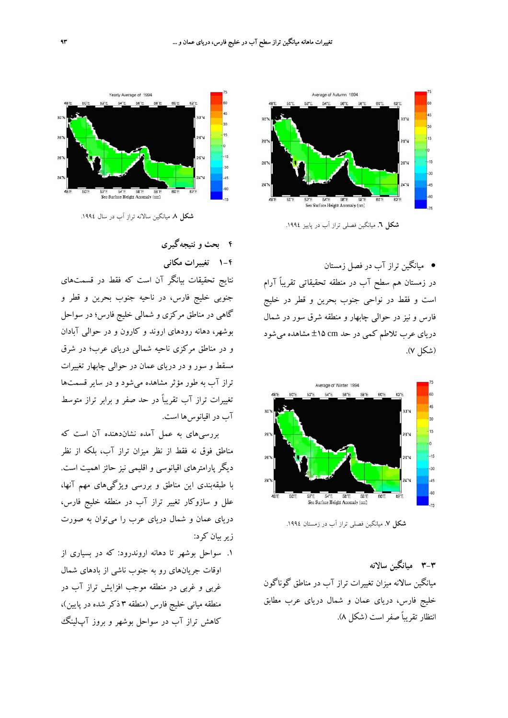

• ميانگين تراز آب در فصل زمستان در زمستان هم سطح آب در منطقه تحقيقاتي تقريباً آرام است و فقط در نواحي جنوب بحرين و قطر در خليج فارس و نيز در حوالي چابهار و منطقه شرق سور در شمال درياي عرب تلاطم كمي در حد cm ±15 مشاهده ميشود (شكل 7).



**شكل .7** ميانگين فصلي تراز آب در زمستان .1994

**3-3 ميانگين سالانه** ميانگين سالانه ميزان تغييرات تراز آب در مناطق گوناگون خليج فارس، درياي عمان و شمال درياي عرب مطابق انتظار تقريباً صفراست (شكل 8).



**شكل .8** ميانگين سالانه تراز آب در سال .1994

**4 بحث و نتيجهگيري**

**1-4 تغييرات مكاني** نتايج تحقيقات بيانگر آن است كه فقط در قسمتهاي

جنوبي خليج فارس، در ناحيه جنوب بحرين و قطر و گاهي در مناطق مركزي و شمالي خليج فارس؛ در سواحل بوشهر، دهانه رودهاي اروند و كارون و در حوالي آبادان و در مناطق مركزي ناحيه شمالي درياي عرب؛ در شرق مسقط و سور و در درياي عمان در حوالي چابهار تغييرات تراز آب به طور مؤثر مشاهده ميشود و در ساير قسمتها تغييرات تراز آب تقريباً در حد صفر و برابر تراز متوسط آب در اقيانوسها است.

بررسيهاي به عمل آمده نشاندهنده آن است كه مناطق فوق نه فقط از نظر ميزان تراز آب، بلكه از نظر ديگر پارامترهاي اقيانوسي و اقليمي نيز حائز اهميت است. با طبقهبندي اين مناطق و بررسي ويژگيهاي مهم آنها، علل و سازوكار تغيير تراز آب در منطقه خليج فارس، درياي عمان و شمال درياي عرب را ميتوان به صورت زيربيان كرد:

.1 سواحل بوشهر تا دهانه اروندرود: كه در بسياري از اوقات جريانهاي رو به جنوب ناشي از بادهاي شمال غربي و غربي در منطقه موجب افزايش تراز آب در منطقه مياني خليج فارس (منطقه 3 ذكر شده در پايين)، كاهش تراز آب در سواحل بوشهر و بروز آپلينگ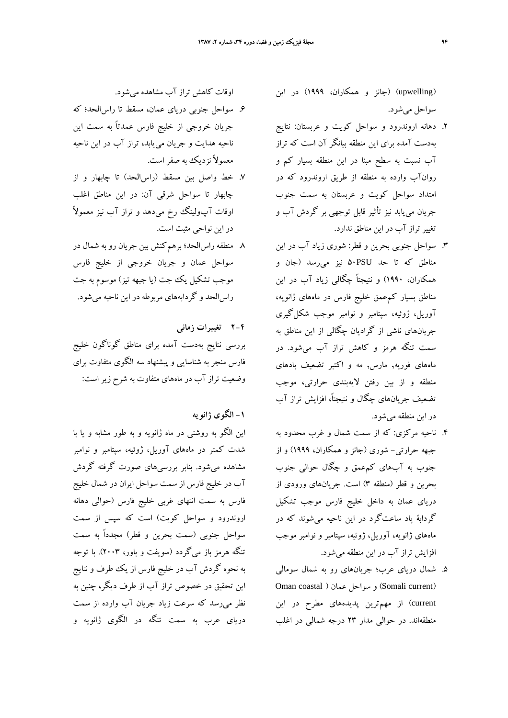(upwelling) (جانز و همكاران، 1999) در اين سواحل ميشود.

- .2 دهانه اروندرود و سواحل كويت و عربستان: نتايج بهدست آمده براي اين منطقه بيانگر آن است كه تراز آب نسبت به سطح مبنا در اين منطقه بسيار كم و روانآب وارده به منطقه از طريق اروندرود كه در امتداد سواحل كويت و عربستان به سمت جنوب جريان مييابد نيز تأثير قابل توجهي بر گردش آب و تغييرتراز آب در اين مناطق ندارد.
- .3 سواحل جنوبي بحرين و قطر: شوري زياد آب در اين مناطق كه تا حد PSU50 نيز ميرسد (جان و همكاران، 1990) و نتيجتاً چگالي زياد آب در اين مناطق بسيار كمعمق خليج فارس در ماههاي ژانويه، آوريل، ژوئيه، سپتامبر و نوامبر موجب شكلگيري جريانهاي ناشي از گراديان چگالي از اين مناطق به سمت تنگه هرمز و كاهش تراز آب ميشود. در ماههاي فوريه, مارس, مه و اكتبر تضعيف بادهاي منطقه و از بين رفتن لايهبندي حرارتي، موجب تضعيف جريانهاي چگال و نتيجتا،ً افزايش تراز آب در اين منطقه ميشود.
- .4 ناحيه مركزي: كه از سمت شمال و غرب محدود به جبهه حرارتي- شوري (جانز و همكاران، 1999) و از جنوب به آبهاي كمعمق و چگال حوالي جنوب بحرين و قطر (منطقه 3) است. جريانهاي ورودي از درياي عمان به داخل خليج فارس موجب تشكيل گردابة پاد ساعتگرد در اين ناحيه ميشوند كه در ماههاي ژانويه، آوريل، ژوئيه، سپتامبر و نوامبر موجب افزايش تراز آب در اين منطقه ميشود.
- .5 شمال درياي عرب؛ جريانهاي رو به شمال سومالي Oman coastal ) عمان سواحل و) Somali current) current (از مهمترين پديدههاي مطرح در اين منطقهاند. در حوالي مدار 23 درجه شمالي در اغلب

اوقات كاهش تراز آب مشاهده ميشود.

- .6 سواحل جنوبي درياي عمان، مسقط تا راسالحد؛ كه جريان خروجي از خليج فارس عمدتاً به سمت اين ناحيه هدايت و جريان مييابد، تراز آب در اين ناحيه معمولاً نزديك به صفراست.
- .7 خط واصل بين مسقط (راسالحد) تا چابهار و از چابهار تا سواحل شرقي آن: در اين مناطق اغلب اوقات آپولينگ رخ ميدهد و تراز آب نيز معمولاً در اين نواحي مثبت است.
- .8 منطقه راسالحد؛ برهمكنش بين جريان رو به شمال در سواحل عمان و جريان خروجي از خليج فارس موجب تشكيل يك جت (يا جبهه تيز) موسوم به جت راسالحد و گردابههاي مربوطه در اين ناحيه ميشود.

**2-4 تغييرات زماني**

بررسي نتايج بهدست آمده براي مناطق گوناگون خليج فارس منجر به شناسايي و پيشنهاد سه الگوي متفاوت براي وضعيت تراز آب در ماههاي متفاوت به شرح زير است:

**-1 الگوي ژانويه**

اين الگو به روشني در ماه ژانويه و به طور مشابه و يا با شدت كمتر در ماههاي آوريل، ژوئيه، سپتامبر و نوامبر مشاهده ميشود. بنابر بررسيهاي صورت گرفته گردش آب در خليج فارس از سمت سواحل ايران در شمال خليج فارس به سمت انتهاي غربي خليج فارس (حوالي دهانه اروندرود و سواحل كويت) است كه سپس از سمت سواحل جنوبي (سمت بحرين و قطر) مجدداً به سمت تنگه هرمز باز ميگردد (سويفت و باور، 2003). با توجه به نحوه گردش آب در خليج فارس از يك طرف و نتايج اين تحقيق در خصوص تراز آب از طرف ديگر، چنين به نظر ميرسد كه سرعت زياد جريان آب وارده از سمت درياي عرب به سمت تنگه در الگوي ژانويه و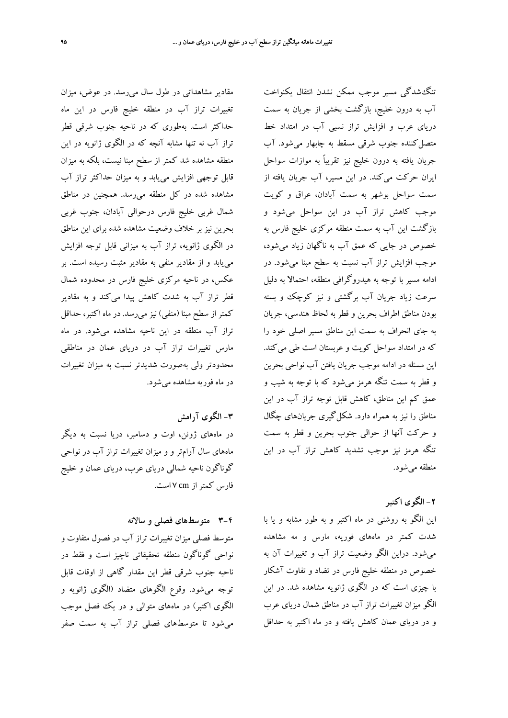مقادير مشاهداتي در طول سال ميرسد. در عوض، ميزان تغييرات تراز آب در منطقه خليج فارس در اين ماه حداكثر است. بهطوري كه در ناحيه جنوب شرقي قطر تراز آب نه تنها مشابه آنچه كه در الگوي ژانويه در اين منطقه مشاهده شد كمتر از سطح مبنا نيست، بلكه به ميزان قابل توجهي افزايش مييابد و به ميزان حداكثر تراز آب مشاهده شده در كل منطقه ميرسد. همچنين در مناطق شمال غربي خليج فارس درحوالي آبادان، جنوب غربي بحرين نيز بر خلاف وضعيت مشاهده شده براي اين مناطق در الگوي ژانويه، تراز آب به ميزاني قابل توجه افزايش مييابد و از مقادير منفي به مقادير مثبت رسيده است. بر عكس، در ناحيه مركزي خليج فارس در محدوده شمال قطر تراز آب به شدت كاهش پيدا ميكند و به مقادير كمتراز سطح مبنا (منفي) نيز ميرسد. در ماه اكتبر، حداقل تراز آب منطقه در اين ناحيه مشاهده ميشود. در ماه مارس تغييرات تراز آب در درياي عمان در مناطقي محدودتر ولي بهصورت شديدتر نسبت به ميزان تغييرات در ماه فوريه مشاهده ميشود.

### **-3 الگوي آرامش**

در ماههاي ژوئن، اوت و دسامبر، دريا نسبت به ديگر ماههاي سال آرامتر و و ميزان تغييرات تراز آب در نواحي گوناگون ناحيه شمالي درياي عرب، درياي عمان و خليج فارس كمتراز cm 7 است.

### **3-4 متوسطهاي فصلي و سالانه**

متوسط فصلي ميزان تغييرات تراز آب در فصول متفاوت و نواحي گوناگون منطقه تحقيقاتي ناچيز است و فقط در ناحيه جنوب شرقي قطر اين مقدار گاهي از اوقات قابل توجه ميشود. وقوع الگوهاي متضاد (الگوي ژانويه و الگوي اكتبر) در ماههاي متوالي و در يك فصل موجب ميشود تا متوسطهاي فصلي تراز آب به سمت صفر

تنگشدگي مسير موجب ممكن نشدن انتقال يكنواخت آب به درون خليج، بازگشت بخشي از جريان به سمت درياي عرب و افزايش تراز نسبي آب در امتداد خط متصلكننده جنوب شرقي مسقط به چابهار ميشود. آب جريان يافته به درون خليج نيز تقريباً به موازات سواحل ايران حركت ميكند. در اين مسير، آب جريان يافته از سمت سواحل بوشهر به سمت آبادان، عراق و كويت موجب كاهش تراز آب در اين سواحل ميشود و بازگشت اين آب به سمت منطقه مركزي خليج فارس به خصوص در جايي كه عمق آب به ناگهان زياد ميشود، موجب افزايش تراز آب نسبت به سطح مبنا ميشود. در ادامه مسير با توجه به هيدروگرافي منطقه، احتمالا به دليل سرعت زياد جريان آب برگشتي و نيز كوچك و بسته بودن مناطق اطراف بحرين و قطر به لحاظ هندسي، جريان به جاي انحراف به سمت اين مناطق مسير اصلي خود را كه در امتداد سواحل كويت و عربستان است طي ميكند. اين مسئله در ادامه موجب جريان يافتن آب نواحي بحرين و قطر به سمت تنگه هرمز ميشود كه با توجه به شيب و عمق كم اين مناطق، كاهش قابل توجه تراز آب در اين مناطق را نيز به همراه دارد. شكلگيري جريانهاي چگال و حركت آنها از حوالي جنوب بحرين و قطر به سمت تنگه هرمز نيز موجب تشديد كاهش تراز آب در اين منطقه ميشود.

# **-2 الگوي اكتبر**

اين الگو به روشني در ماه اكتبر و به طور مشابه و يا با شدت كمتر در ماههاي فوريه، مارس و مه مشاهده ميشود. دراين الگو وضعيت تراز آب و تغييرات آن به خصوص در منطقه خليج فارس در تضاد و تفاوت آشكار با چيزي است كه در الگوي ژانويه مشاهده شد. در اين الگو ميزان تغييرات تراز آب در مناطق شمال درياي عرب و در درياي عمان كاهش يافته و در ماه اكتبر به حداقل